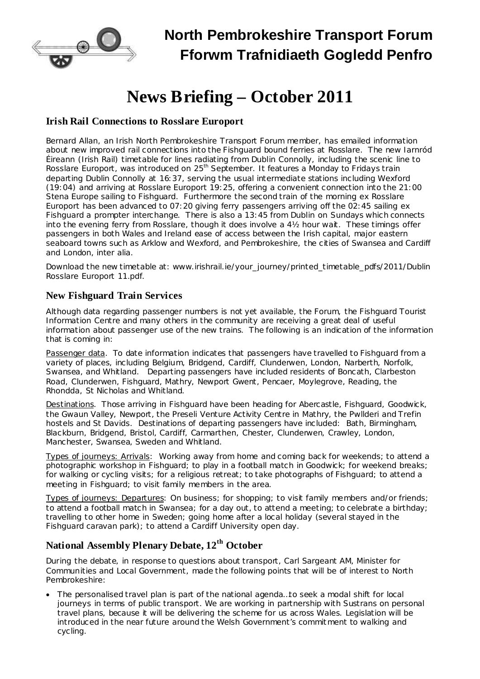

# **North Pembrokeshire Transport Forum Fforwm Trafnidiaeth Gogledd Penfro**

# **News Briefing – October 2011**

#### **Irish Rail Connections to Rosslare Europort**

Bernard Allan, an Irish North Pembrokeshire Transport Forum member, has emailed information about new improved rail connections into the Fishguard bound ferries at Rosslare. The new Iarnród Éireann (Irish Rail) timetable for lines radiating from Dublin Connolly, including the scenic line to Rosslare Europort, was introduced on 25<sup>th</sup> September. It features a Monday to Fridays train departing Dublin Connolly at 16:37, serving the usual intermediate stations including Wexford (19:04) and arriving at Rosslare Europort 19:25, offering a convenient connection into the 21:00 Stena Europe sailing to Fishguard. Furthermore the second train of the morning ex Rosslare Europort has been advanced to 07:20 giving ferry passengers arriving off the 02:45 sailing ex Fishguard a prompter interchange. There is also a 13:45 from Dublin on Sundays which connects into the evening ferry from Rosslare, though it does involve a 4½ hour wait. These timings offer passengers in both Wales and Ireland ease of access between the Irish capital, major eastern seaboard towns such as Arklow and Wexford, and Pembrokeshire, the cities of Swansea and Cardiff and London, *inter alia*.

Download the new timetable at: www.irishrail.ie/your\_journey/printed\_timetable\_pdfs/2011/Dublin Rosslare Europort 11.pdf.

#### **New Fishguard Train Services**

Although data regarding passenger numbers is not yet available, the Forum, the Fishguard Tourist Information Centre and many others in the community are receiving a great deal of useful information about passenger use of the new trains. The following is an indication of the information that is coming in:

Passenger data. To date information indicates that passengers have travelled to Fishguard from a variety of places, including Belgium, Bridgend, Cardiff, Clunderwen, London, Narberth, Norfolk, Swansea, and Whitland. Departing passengers have included residents of Boncath, Clarbeston Road, Clunderwen, Fishguard, Mathry, Newport Gwent, Pencaer, Moylegrove, Reading, the Rhondda, St Nicholas and Whitland.

Destinations. Those arriving in Fishguard have been heading for Abercastle, Fishguard, Goodwick, the Gwaun Valley, Newport, the Preseli Venture Activity Centre in Mathry, the Pwllderi and Trefin hostels and St Davids. Destinations of departing passengers have included: Bath, Birmingham, Blackburn, Bridgend, Bristol, Cardiff, Carmarthen, Chester, Clunderwen, Crawley, London, Manchester, Swansea, Sweden and Whitland.

Types of journeys: Arrivals: Working away from home and coming back for weekends; to attend a photographic workshop in Fishguard; to play in a football match in Goodwick; for weekend breaks; for walking or cycling visits; for a religious retreat; to take photographs of Fishguard; to attend a meeting in Fishguard; to visit family members in the area.

Types of journeys: Departures: On business; for shopping; to visit family members and/or friends; to attend a football match in Swansea; for a day out, to attend a meeting; to celebrate a birthday; travelling to other home in Sweden; going home after a local holiday (several stayed in the Fishguard caravan park); to attend a Cardiff University open day.

## **National Assembly Plenary Debate, 12 th October**

During the debate, in response to questions about transport, Carl Sargeant AM, Minister for Communities and Local Government, made the following points that will be of interest to North Pembrokeshire:

· The personalised travel plan is part of the national agenda…to seek a modal shift for local journeys in terms of public transport. We are working in partnership with Sustrans on personal travel plans, because it will be delivering the scheme for us across Wales. Legislation will be introduced in the near future around the Welsh Government's commitment to walking and cycling.